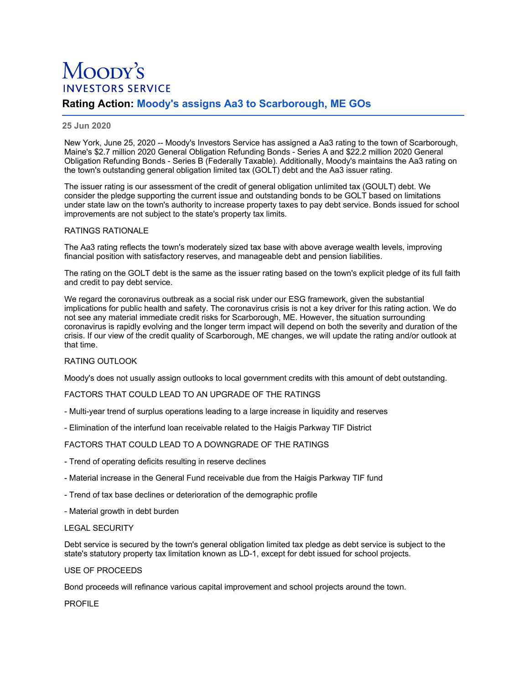# Moopy's **INVESTORS SERVICE**

# **Rating Action: Moody's assigns Aa3 to Scarborough, ME GOs**

# **25 Jun 2020**

New York, June 25, 2020 -- Moody's Investors Service has assigned a Aa3 rating to the town of Scarborough, Maine's \$2.7 million 2020 General Obligation Refunding Bonds - Series A and \$22.2 million 2020 General Obligation Refunding Bonds - Series B (Federally Taxable). Additionally, Moody's maintains the Aa3 rating on the town's outstanding general obligation limited tax (GOLT) debt and the Aa3 issuer rating.

The issuer rating is our assessment of the credit of general obligation unlimited tax (GOULT) debt. We consider the pledge supporting the current issue and outstanding bonds to be GOLT based on limitations under state law on the town's authority to increase property taxes to pay debt service. Bonds issued for school improvements are not subject to the state's property tax limits.

# RATINGS RATIONALE

The Aa3 rating reflects the town's moderately sized tax base with above average wealth levels, improving financial position with satisfactory reserves, and manageable debt and pension liabilities.

The rating on the GOLT debt is the same as the issuer rating based on the town's explicit pledge of its full faith and credit to pay debt service.

We regard the coronavirus outbreak as a social risk under our ESG framework, given the substantial implications for public health and safety. The coronavirus crisis is not a key driver for this rating action. We do not see any material immediate credit risks for Scarborough, ME. However, the situation surrounding coronavirus is rapidly evolving and the longer term impact will depend on both the severity and duration of the crisis. If our view of the credit quality of Scarborough, ME changes, we will update the rating and/or outlook at that time.

# RATING OUTLOOK

Moody's does not usually assign outlooks to local government credits with this amount of debt outstanding.

FACTORS THAT COULD LEAD TO AN UPGRADE OF THE RATINGS

- Multi-year trend of surplus operations leading to a large increase in liquidity and reserves
- Elimination of the interfund loan receivable related to the Haigis Parkway TIF District

FACTORS THAT COULD LEAD TO A DOWNGRADE OF THE RATINGS

- Trend of operating deficits resulting in reserve declines
- Material increase in the General Fund receivable due from the Haigis Parkway TIF fund
- Trend of tax base declines or deterioration of the demographic profile
- Material growth in debt burden

### LEGAL SECURITY

Debt service is secured by the town's general obligation limited tax pledge as debt service is subject to the state's statutory property tax limitation known as LD-1, except for debt issued for school projects.

### USE OF PROCEEDS

Bond proceeds will refinance various capital improvement and school projects around the town.

PROFILE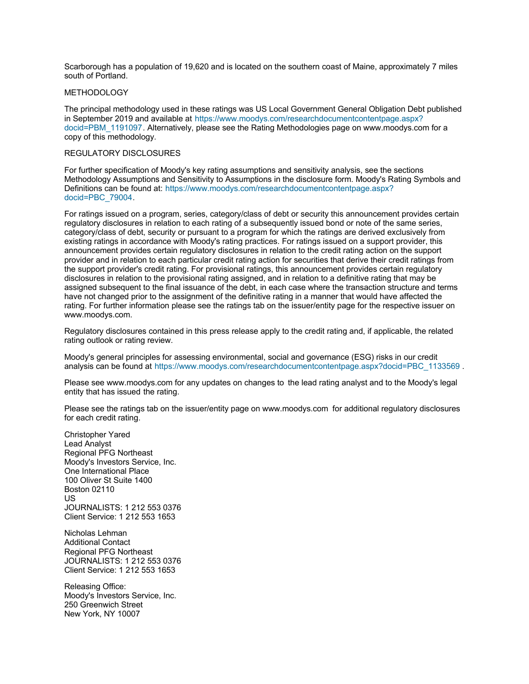Scarborough has a population of 19,620 and is located on the southern coast of Maine, approximately 7 miles south of Portland.

#### METHODOLOGY

The principal methodology used in these ratings was US Local Government General Obligation Debt published [in September 2019 and available at https://www.moodys.com/researchdocumentcontentpage.aspx?](https://www.moodys.com/researchdocumentcontentpage.aspx?docid=PBM_1191097) docid=PBM\_1191097. Alternatively, please see the Rating Methodologies page on www.moodys.com for a copy of this methodology.

#### REGULATORY DISCLOSURES

For further specification of Moody's key rating assumptions and sensitivity analysis, see the sections Methodology Assumptions and Sensitivity to Assumptions in the disclosure form. Moody's Rating Symbols and [Definitions can be found at: https://www.moodys.com/researchdocumentcontentpage.aspx?](https://www.moodys.com/researchdocumentcontentpage.aspx?docid=PBC_79004) docid=PBC\_79004.

For ratings issued on a program, series, category/class of debt or security this announcement provides certain regulatory disclosures in relation to each rating of a subsequently issued bond or note of the same series, category/class of debt, security or pursuant to a program for which the ratings are derived exclusively from existing ratings in accordance with Moody's rating practices. For ratings issued on a support provider, this announcement provides certain regulatory disclosures in relation to the credit rating action on the support provider and in relation to each particular credit rating action for securities that derive their credit ratings from the support provider's credit rating. For provisional ratings, this announcement provides certain regulatory disclosures in relation to the provisional rating assigned, and in relation to a definitive rating that may be assigned subsequent to the final issuance of the debt, in each case where the transaction structure and terms have not changed prior to the assignment of the definitive rating in a manner that would have affected the rating. For further information please see the ratings tab on the issuer/entity page for the respective issuer on www.moodys.com.

Regulatory disclosures contained in this press release apply to the credit rating and, if applicable, the related rating outlook or rating review.

Moody's general principles for assessing environmental, social and governance (ESG) risks in our credit analysis can be found at [https://www.moodys.com/researchdocumentcontentpage.aspx?docid=PBC\\_1133569](https://www.moodys.com/researchdocumentcontentpage.aspx?docid=PBC_1133569) .

Please see www.moodys.com for any updates on changes to the lead rating analyst and to the Moody's legal entity that has issued the rating.

Please see the ratings tab on the issuer/entity page on www.moodys.com for additional regulatory disclosures for each credit rating.

Christopher Yared Lead Analyst Regional PFG Northeast Moody's Investors Service, Inc. One International Place 100 Oliver St Suite 1400 Boston 02110 US JOURNALISTS: 1 212 553 0376 Client Service: 1 212 553 1653

Nicholas Lehman Additional Contact Regional PFG Northeast JOURNALISTS: 1 212 553 0376 Client Service: 1 212 553 1653

Releasing Office: Moody's Investors Service, Inc. 250 Greenwich Street New York, NY 10007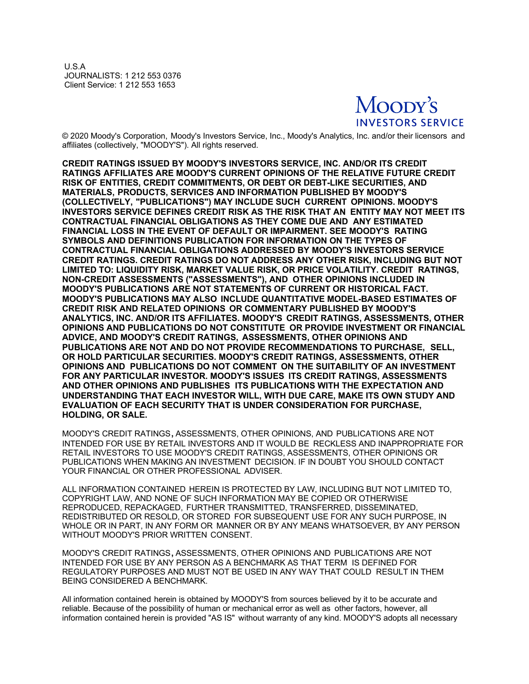U.S.A JOURNALISTS: 1 212 553 0376 Client Service: 1 212 553 1653



© 2020 Moody's Corporation, Moody's Investors Service, Inc., Moody's Analytics, Inc. and/or their licensors and affiliates (collectively, "MOODY'S"). All rights reserved.

**CREDIT RATINGS ISSUED BY MOODY'S INVESTORS SERVICE, INC. AND/OR ITS CREDIT RATINGS AFFILIATES ARE MOODY'S CURRENT OPINIONS OF THE RELATIVE FUTURE CREDIT RISK OF ENTITIES, CREDIT COMMITMENTS, OR DEBT OR DEBT-LIKE SECURITIES, AND MATERIALS, PRODUCTS, SERVICES AND INFORMATION PUBLISHED BY MOODY'S (COLLECTIVELY, "PUBLICATIONS") MAY INCLUDE SUCH CURRENT OPINIONS. MOODY'S INVESTORS SERVICE DEFINES CREDIT RISK AS THE RISK THAT AN ENTITY MAY NOT MEET ITS CONTRACTUAL FINANCIAL OBLIGATIONS AS THEY COME DUE AND ANY ESTIMATED FINANCIAL LOSS IN THE EVENT OF DEFAULT OR IMPAIRMENT. SEE MOODY'S RATING SYMBOLS AND DEFINITIONS PUBLICATION FOR INFORMATION ON THE TYPES OF CONTRACTUAL FINANCIAL OBLIGATIONS ADDRESSED BY MOODY'S INVESTORS SERVICE CREDIT RATINGS. CREDIT RATINGS DO NOT ADDRESS ANY OTHER RISK, INCLUDING BUT NOT LIMITED TO: LIQUIDITY RISK, MARKET VALUE RISK, OR PRICE VOLATILITY. CREDIT RATINGS, NON-CREDIT ASSESSMENTS ("ASSESSMENTS"), AND OTHER OPINIONS INCLUDED IN MOODY'S PUBLICATIONS ARE NOT STATEMENTS OF CURRENT OR HISTORICAL FACT. MOODY'S PUBLICATIONS MAY ALSO INCLUDE QUANTITATIVE MODEL-BASED ESTIMATES OF CREDIT RISK AND RELATED OPINIONS OR COMMENTARY PUBLISHED BY MOODY'S ANALYTICS, INC. AND/OR ITS AFFILIATES. MOODY'S CREDIT RATINGS, ASSESSMENTS, OTHER OPINIONS AND PUBLICATIONS DO NOT CONSTITUTE OR PROVIDE INVESTMENT OR FINANCIAL ADVICE, AND MOODY'S CREDIT RATINGS, ASSESSMENTS, OTHER OPINIONS AND PUBLICATIONS ARE NOT AND DO NOT PROVIDE RECOMMENDATIONS TO PURCHASE, SELL, OR HOLD PARTICULAR SECURITIES. MOODY'S CREDIT RATINGS, ASSESSMENTS, OTHER OPINIONS AND PUBLICATIONS DO NOT COMMENT ON THE SUITABILITY OF AN INVESTMENT FOR ANY PARTICULAR INVESTOR. MOODY'S ISSUES ITS CREDIT RATINGS, ASSESSMENTS AND OTHER OPINIONS AND PUBLISHES ITS PUBLICATIONS WITH THE EXPECTATION AND UNDERSTANDING THAT EACH INVESTOR WILL, WITH DUE CARE, MAKE ITS OWN STUDY AND EVALUATION OF EACH SECURITY THAT IS UNDER CONSIDERATION FOR PURCHASE, HOLDING, OR SALE.** 

MOODY'S CREDIT RATINGS**,** ASSESSMENTS, OTHER OPINIONS, AND PUBLICATIONS ARE NOT INTENDED FOR USE BY RETAIL INVESTORS AND IT WOULD BE RECKLESS AND INAPPROPRIATE FOR RETAIL INVESTORS TO USE MOODY'S CREDIT RATINGS, ASSESSMENTS, OTHER OPINIONS OR PUBLICATIONS WHEN MAKING AN INVESTMENT DECISION. IF IN DOUBT YOU SHOULD CONTACT YOUR FINANCIAL OR OTHER PROFESSIONAL ADVISER.

ALL INFORMATION CONTAINED HEREIN IS PROTECTED BY LAW, INCLUDING BUT NOT LIMITED TO, COPYRIGHT LAW, AND NONE OF SUCH INFORMATION MAY BE COPIED OR OTHERWISE REPRODUCED, REPACKAGED, FURTHER TRANSMITTED, TRANSFERRED, DISSEMINATED, REDISTRIBUTED OR RESOLD, OR STORED FOR SUBSEQUENT USE FOR ANY SUCH PURPOSE, IN WHOLE OR IN PART, IN ANY FORM OR MANNER OR BY ANY MEANS WHATSOEVER, BY ANY PERSON WITHOUT MOODY'S PRIOR WRITTEN CONSENT.

MOODY'S CREDIT RATINGS**,** ASSESSMENTS, OTHER OPINIONS AND PUBLICATIONS ARE NOT INTENDED FOR USE BY ANY PERSON AS A BENCHMARK AS THAT TERM IS DEFINED FOR REGULATORY PURPOSES AND MUST NOT BE USED IN ANY WAY THAT COULD RESULT IN THEM BEING CONSIDERED A BENCHMARK.

All information contained herein is obtained by MOODY'S from sources believed by it to be accurate and reliable. Because of the possibility of human or mechanical error as well as other factors, however, all information contained herein is provided "AS IS" without warranty of any kind. MOODY'S adopts all necessary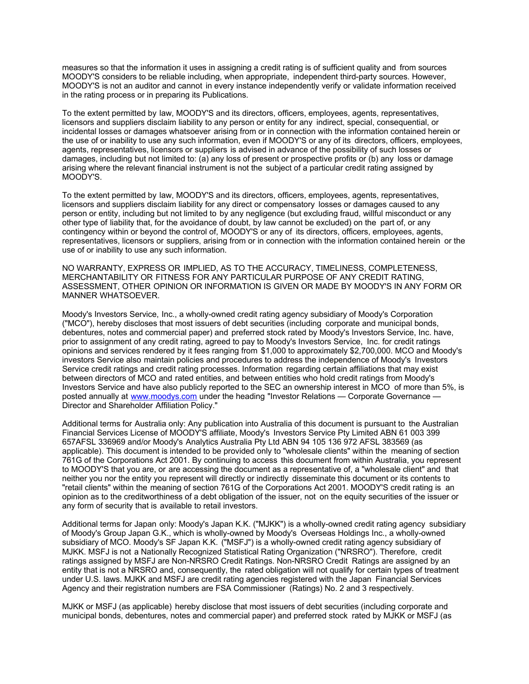measures so that the information it uses in assigning a credit rating is of sufficient quality and from sources MOODY'S considers to be reliable including, when appropriate, independent third-party sources. However, MOODY'S is not an auditor and cannot in every instance independently verify or validate information received in the rating process or in preparing its Publications.

To the extent permitted by law, MOODY'S and its directors, officers, employees, agents, representatives, licensors and suppliers disclaim liability to any person or entity for any indirect, special, consequential, or incidental losses or damages whatsoever arising from or in connection with the information contained herein or the use of or inability to use any such information, even if MOODY'S or any of its directors, officers, employees, agents, representatives, licensors or suppliers is advised in advance of the possibility of such losses or damages, including but not limited to: (a) any loss of present or prospective profits or (b) any loss or damage arising where the relevant financial instrument is not the subject of a particular credit rating assigned by MOODY'S.

To the extent permitted by law, MOODY'S and its directors, officers, employees, agents, representatives, licensors and suppliers disclaim liability for any direct or compensatory losses or damages caused to any person or entity, including but not limited to by any negligence (but excluding fraud, willful misconduct or any other type of liability that, for the avoidance of doubt, by law cannot be excluded) on the part of, or any contingency within or beyond the control of, MOODY'S or any of its directors, officers, employees, agents, representatives, licensors or suppliers, arising from or in connection with the information contained herein or the use of or inability to use any such information.

NO WARRANTY, EXPRESS OR IMPLIED, AS TO THE ACCURACY, TIMELINESS, COMPLETENESS, MERCHANTABILITY OR FITNESS FOR ANY PARTICULAR PURPOSE OF ANY CREDIT RATING, ASSESSMENT, OTHER OPINION OR INFORMATION IS GIVEN OR MADE BY MOODY'S IN ANY FORM OR MANNER WHATSOEVER.

Moody's Investors Service, Inc., a wholly-owned credit rating agency subsidiary of Moody's Corporation ("MCO"), hereby discloses that most issuers of debt securities (including corporate and municipal bonds, debentures, notes and commercial paper) and preferred stock rated by Moody's Investors Service, Inc. have, prior to assignment of any credit rating, agreed to pay to Moody's Investors Service, Inc. for credit ratings opinions and services rendered by it fees ranging from \$1,000 to approximately \$2,700,000. MCO and Moody's investors Service also maintain policies and procedures to address the independence of Moody's Investors Service credit ratings and credit rating processes. Information regarding certain affiliations that may exist between directors of MCO and rated entities, and between entities who hold credit ratings from Moody's Investors Service and have also publicly reported to the SEC an ownership interest in MCO of more than 5%, is posted annually at [www.moodys.com](http://www.moodys.com/) under the heading "Investor Relations — Corporate Governance — Director and Shareholder Affiliation Policy."

Additional terms for Australia only: Any publication into Australia of this document is pursuant to the Australian Financial Services License of MOODY'S affiliate, Moody's Investors Service Pty Limited ABN 61 003 399 657AFSL 336969 and/or Moody's Analytics Australia Pty Ltd ABN 94 105 136 972 AFSL 383569 (as applicable). This document is intended to be provided only to "wholesale clients" within the meaning of section 761G of the Corporations Act 2001. By continuing to access this document from within Australia, you represent to MOODY'S that you are, or are accessing the document as a representative of, a "wholesale client" and that neither you nor the entity you represent will directly or indirectly disseminate this document or its contents to "retail clients" within the meaning of section 761G of the Corporations Act 2001. MOODY'S credit rating is an opinion as to the creditworthiness of a debt obligation of the issuer, not on the equity securities of the issuer or any form of security that is available to retail investors.

Additional terms for Japan only: Moody's Japan K.K. ("MJKK") is a wholly-owned credit rating agency subsidiary of Moody's Group Japan G.K., which is wholly-owned by Moody's Overseas Holdings Inc., a wholly-owned subsidiary of MCO. Moody's SF Japan K.K. ("MSFJ") is a wholly-owned credit rating agency subsidiary of MJKK. MSFJ is not a Nationally Recognized Statistical Rating Organization ("NRSRO"). Therefore, credit ratings assigned by MSFJ are Non-NRSRO Credit Ratings. Non-NRSRO Credit Ratings are assigned by an entity that is not a NRSRO and, consequently, the rated obligation will not qualify for certain types of treatment under U.S. laws. MJKK and MSFJ are credit rating agencies registered with the Japan Financial Services Agency and their registration numbers are FSA Commissioner (Ratings) No. 2 and 3 respectively.

MJKK or MSFJ (as applicable) hereby disclose that most issuers of debt securities (including corporate and municipal bonds, debentures, notes and commercial paper) and preferred stock rated by MJKK or MSFJ (as